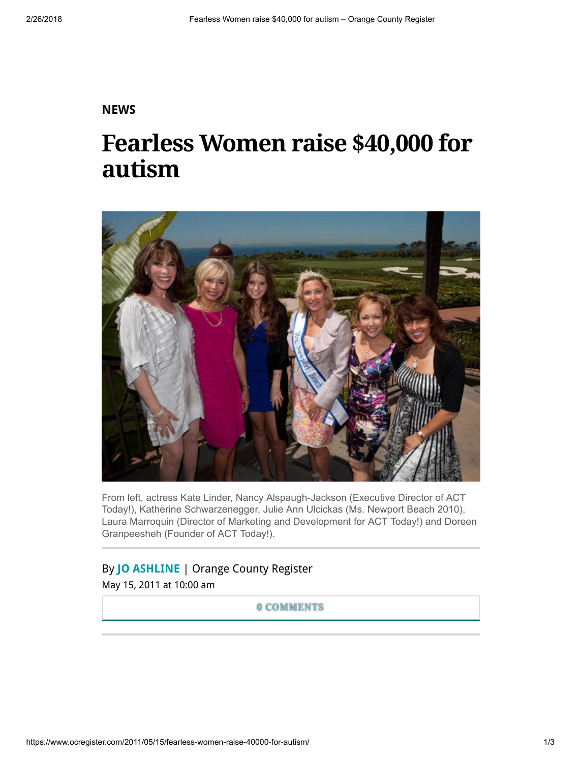## **[NEWS](https://www.ocregister.com/news/)**

## Fearless Women raise \$40,000 for autism



From left, actress Kate Linder, Nancy Alspaugh-Jackson (Executive Director of ACT Today!), Katherine Schwarzenegger, Julie Ann Ulcickas (Ms. Newport Beach 2010), Laura Marroquin (Director of Marketing and Development for ACT Today!) and Doreen Granpeesheh (Founder of ACT Today!).

## By [JO ASHLINE](https://www.ocregister.com/author/jo-ashline/) | Orange County Register

May 15, 2011 at 10:00 am

0 COMMENTS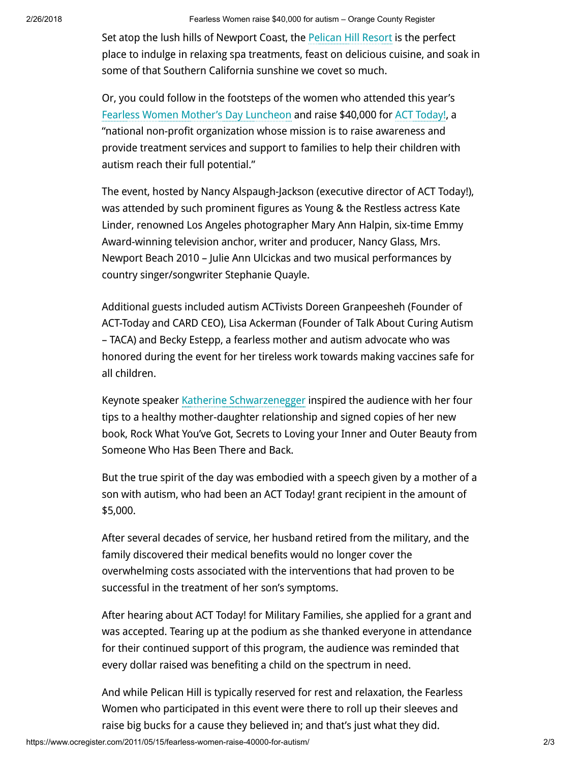Set atop the lush hills of Newport Coast, the [Pelican](http://www.pelicanhill.com/) Hill Resort is the perfect place to indulge in relaxing spa treatments, feast on delicious cuisine, and soak in some of that Southern California sunshine we covet so much.

Or, you could follow in the footsteps of the women who attended this year's Fearless Women Mother's Day [Luncheon](http://www.act-today.org/Mothers-Day-Luncheon.php) and raise \$40,000 for ACT [Today!](http://www.act-today.org/), a "national non-profit organization whose mission is to raise awareness and provide treatment services and support to families to help their children with autism reach their full potential."

The event, hosted by Nancy Alspaugh-Jackson (executive director of ACT Today!), was attended by such prominent figures as Young & the Restless actress Kate Linder, renowned Los Angeles photographer Mary Ann Halpin, six-time Emmy Award-winning television anchor, writer and producer, Nancy Glass, Mrs. Newport Beach 2010 – Julie Ann Ulcickas and two musical performances by country singer/songwriter Stephanie Quayle.

Additional guests included autism ACTivists Doreen Granpeesheh (Founder of ACT-Today and CARD CEO), Lisa Ackerman (Founder of Talk About Curing Autism – TACA) and Becky Estepp, a fearless mother and autism advocate who was honored during the event for her tireless work towards making vaccines safe for all children.

Keynote speaker Katherine [Schwarzenegger](http://en.wikipedia.org/wiki/Katherine_Schwarzenegger) inspired the audience with her four tips to a healthy mother-daughter relationship and signed copies of her new book, Rock What You've Got, Secrets to Loving your Inner and Outer Beauty from Someone Who Has Been There and Back.

But the true spirit of the day was embodied with a speech given by a mother of a son with autism, who had been an ACT Today! grant recipient in the amount of \$5,000.

After several decades of service, her husband retired from the military, and the family discovered their medical benefits would no longer cover the overwhelming costs associated with the interventions that had proven to be successful in the treatment of her son's symptoms.

After hearing about ACT Today! for Military Families, she applied for a grant and was accepted. Tearing up at the podium as she thanked everyone in attendance for their continued support of this program, the audience was reminded that every dollar raised was benefiting a child on the spectrum in need.

And while Pelican Hill is typically reserved for rest and relaxation, the Fearless Women who participated in this event were there to roll up their sleeves and raise big bucks for a cause they believed in; and that's just what they did.